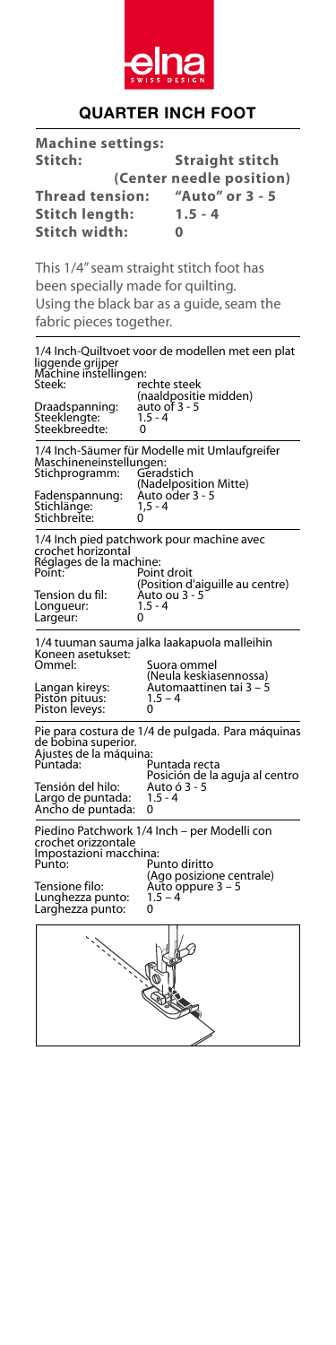

## **QUARTER INCH FOOT**

| <b>Machine settings:</b>                                                                                                                         |                                    |                                                                        |  |
|--------------------------------------------------------------------------------------------------------------------------------------------------|------------------------------------|------------------------------------------------------------------------|--|
| Stitch:                                                                                                                                          |                                    | <b>Straight stitch</b>                                                 |  |
| (Center needle position)                                                                                                                         |                                    |                                                                        |  |
| <b>Thread tension:</b>                                                                                                                           |                                    | "Auto" or 3 - 5                                                        |  |
| <b>Stitch length:</b>                                                                                                                            |                                    | $1.5 - 4$                                                              |  |
| Stitch width:                                                                                                                                    |                                    | 0                                                                      |  |
| This 1/4" seam straight stitch foot has                                                                                                          |                                    |                                                                        |  |
| been specially made for quilting.                                                                                                                |                                    |                                                                        |  |
| Using the black bar as a guide, seam the                                                                                                         |                                    |                                                                        |  |
| fabric pieces together.                                                                                                                          |                                    |                                                                        |  |
| 1/4 Inch-Quiltvoet voor de modellen met een plat<br>liggende grijper<br>Machine instellingen:<br>Steek:<br>rechte steek<br>(naaldpositie midden) |                                    |                                                                        |  |
| Draadspanning:<br>Steeklengte:<br>Steekbreedte:                                                                                                  | auto of 3 - 5<br>$1.5 - 4$<br>0    |                                                                        |  |
| Maschineneinstellungen:<br>Stichprogramm:                                                                                                        | Geradstich                         | 1/4 Inch-Säumer für Modelle mit Umlaufgreifer<br>(Nadelposition Mitte) |  |
| Fadenspannung:<br>Stichlänge:<br>Stichbreite:                                                                                                    | Auto oder 3 - 5<br>$1, 5 - 4$<br>0 |                                                                        |  |
| 1/4 lnch pied patchwork pour machine avec<br>crochet horizontal<br>Réglages de la machine:<br>Point:                                             | Point droit                        |                                                                        |  |
| Tension du fil:<br>Longueur:<br>Largeur:                                                                                                         | Auto ou 3 - 5<br>$1.5 - 4$<br>0    | (Position d'aiguille au centre)                                        |  |
| 1/4 tuuman sauma jalka laakapuola malleihin                                                                                                      |                                    |                                                                        |  |
| Koneen asetukset:<br>Ommel:                                                                                                                      |                                    | Suora ommel                                                            |  |
|                                                                                                                                                  |                                    | (Neula keskiasennossa)<br>Automaattinen tai 3 – 5                      |  |
| Langan kireys:<br>Piston pituus:<br>Piston leveys:                                                                                               | $1.5 - 4$<br>0                     |                                                                        |  |
| Pie para costura de 1/4 de pulgada. Para máquinas<br>de bobina superior.<br>Ajustes de la máquina:                                               |                                    |                                                                        |  |
| Puntada:                                                                                                                                         |                                    | Puntada recta<br>Posición de la aguja al centro                        |  |
| Tensión del hilo:<br>Largo de puntada:                                                                                                           | $1.5 - 4$                          | Auto ó 3 - 5                                                           |  |
| Ancho de puntada:                                                                                                                                | 0                                  |                                                                        |  |
| Piedino Patchwork 1/4 Inch - per Modelli con<br>crochet orizzontale<br>Impostazioni macchina:<br>Punto:                                          |                                    | Punto diritto                                                          |  |
| Tensione filo:<br>Lunghezza punto:<br>Larghezza punto:                                                                                           | 1.5 – 4<br>0                       | (Ago posizione centrale)<br>Auto oppure 3 – 5                          |  |
|                                                                                                                                                  |                                    |                                                                        |  |
|                                                                                                                                                  |                                    |                                                                        |  |